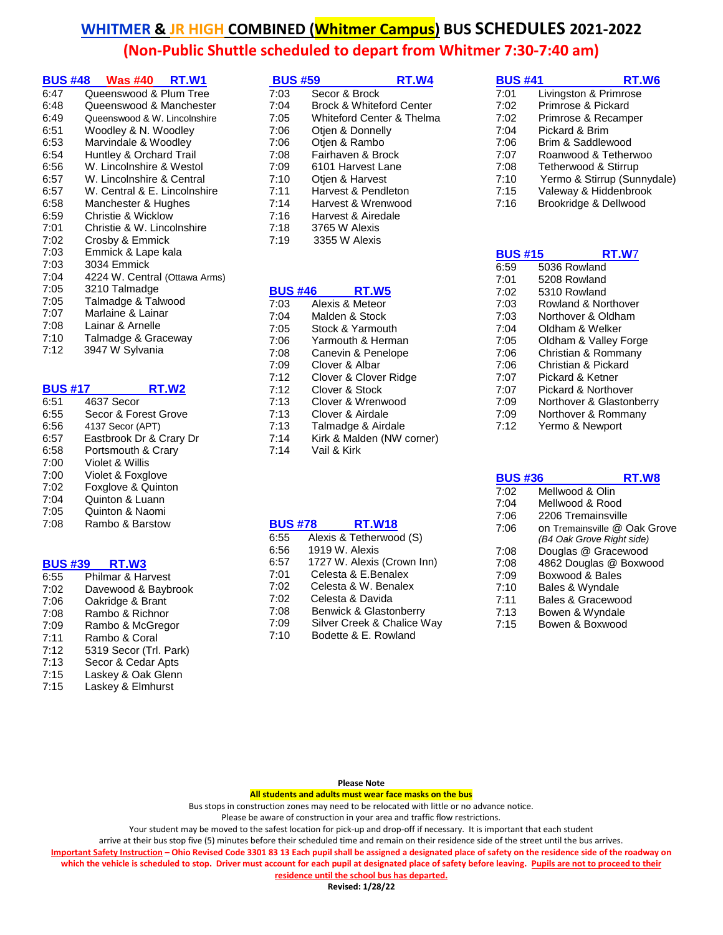| <b>BUS #48</b> | <b>Was #40 RT.W1</b>          |
|----------------|-------------------------------|
| 6:47           | Queenswood & Plum Tree        |
| 6:48           | Queenswood & Manchester       |
| 6:49           | Queenswood & W. Lincolnshire  |
| 6:51           | Woodley & N. Woodley          |
| 6:53           | Marvindale & Woodley          |
| 6:54           | Huntley & Orchard Trail       |
| 6:56           | W. Lincolnshire & Westol      |
| 6:57           | W. Lincolnshire & Central     |
| 6:57           | W. Central & E. Lincolnshire  |
| 6:58           | Manchester & Hughes           |
| 6:59           | Christie & Wicklow            |
| 7:01           | Christie & W. Lincolnshire    |
| 7:02           | Crosby & Emmick               |
| 7:03           | Emmick & Lape kala            |
| 7:03           | 3034 Emmick                   |
| 7:04           | 4224 W. Central (Ottawa Arms) |
| 7:05           | 3210 Talmadge                 |
| 7:05           | Talmadge & Talwood            |
| 7:07           | Marlaine & Lainar             |
| 7:08           | Lainar & Arnelle              |
| 7:10           | Talmadge & Graceway           |
| 7:12           | 3947 W Sylvania               |

| <b>BUS #17</b> | RT.W2                   |
|----------------|-------------------------|
| 6:51           | 4637 Secor              |
| 6:55           | Secor & Forest Grove    |
| 6:56           | 4137 Secor (APT)        |
| 6:57           | Eastbrook Dr & Crary Dr |
| 6:58           | Portsmouth & Crary      |
| 7:00           | Violet & Willis         |
| 7:00           | Violet & Foxglove       |
| 7:02           | Foxglove & Quinton      |
| 7:04           | Quinton & Luann         |
| 7:05           | Quinton & Naomi         |
| 7:08           | Rambo & Barstow         |

### **BUS #39 RT.W3**

| 6:55 | Philmar & Harvest      |
|------|------------------------|
| 7:02 | Davewood & Baybrook    |
| 7:06 | Oakridge & Brant       |
| 7:08 | Rambo & Richnor        |
| 7:09 | Rambo & McGregor       |
| 7:11 | Rambo & Coral          |
| 7:12 | 5319 Secor (Trl. Park) |
| 7:13 | Secor & Cedar Apts     |
| 7:15 | Laskey & Oak Glenn     |
| 7:15 | Laskey & Elmhurst      |

| <b>BUS #59</b> |                                     | RT.W4                     |
|----------------|-------------------------------------|---------------------------|
| 7:03           | Secor & Brock                       |                           |
| 7:04           | <b>Brock &amp; Whiteford Center</b> |                           |
| 7:05           |                                     | Whiteford Center & Thelma |
| 7:06           | Otien & Donnelly                    |                           |
| 7:06           | Otjen & Rambo                       |                           |
| 7:08           | Fairhaven & Brock                   |                           |
| 7:09           | 6101 Harvest Lane                   |                           |
| 7:10           | Otien & Harvest                     |                           |
| 7:11           | Harvest & Pendleton                 |                           |
| 7:14           | Harvest & Wrenwood                  |                           |
| 7:16           | Harvest & Airedale                  |                           |
| 7:18           | 3765 W Alexis                       |                           |
| 7:19           | 3355 W Alexis                       |                           |

#### **BUS #46 RT.W5**

| 7:03 | Alexis & Meteor           |
|------|---------------------------|
| 7:04 | Malden & Stock            |
| 7:05 | Stock & Yarmouth          |
| 7:06 | Yarmouth & Herman         |
| 7:08 | Canevin & Penelope        |
| 7:09 | Clover & Albar            |
| 7:12 | Clover & Clover Ridge     |
| 7:12 | Clover & Stock            |
| 7:13 | Clover & Wrenwood         |
| 7:13 | Clover & Airdale          |
| 7:13 | Talmadge & Airdale        |
| 7:14 | Kirk & Malden (NW corner) |
| 7:14 | Vail & Kirk               |

#### **BUS #78 RT.W18**

| 6:55 | Alexis & Tetherwood (S)    |
|------|----------------------------|
| 6:56 | 1919 W. Alexis             |
| 6:57 | 1727 W. Alexis (Crown Inn) |
| 7:01 | Celesta & E.Benalex        |
| 7:02 | Celesta & W. Benalex       |
| 7:02 | Celesta & Davida           |
| 7:08 | Benwick & Glastonberry     |
| 7:09 | Silver Creek & Chalice Way |
| 7:10 | Bodette & E. Rowland       |
|      |                            |

| <b>BUS #41</b> | RT.W6                       |
|----------------|-----------------------------|
| 7:01           | Livingston & Primrose       |
| 7:02           | Primrose & Pickard          |
| 7:02           | Primrose & Recamper         |
| 7:04           | Pickard & Brim              |
| 7:06           | Brim & Saddlewood           |
| 7:07           | Roanwood & Tetherwoo        |
| 7:08           | Tetherwood & Stirrup        |
| 7:10           | Yermo & Stirrup (Sunnydale) |
| 7:15           | Valeway & Hiddenbrook       |
| 7:16           | Brookridge & Dellwood       |

| <b>BUS #15</b> | <b>RT.W7</b>             |
|----------------|--------------------------|
| 6:59           | 5036 Rowland             |
| 7:01           | 5208 Rowland             |
| 7:02           | 5310 Rowland             |
| 7:03           | Rowland & Northover      |
| 7:03           | Northover & Oldham       |
| 7:04           | Oldham & Welker          |
| 7:05           | Oldham & Valley Forge    |
| 7:06           | Christian & Rommany      |
| 7:06           | Christian & Pickard      |
| 7:07           | Pickard & Ketner         |
| 7:07           | Pickard & Northover      |
| 7:09           | Northover & Glastonberry |
| 7:09           | Northover & Rommany      |
| 7:12           | Yermo & Newport          |

| <b>BUS #36</b> | RT.W8                        |
|----------------|------------------------------|
| 7:02           | Mellwood & Olin              |
| 7:04           | Mellwood & Rood              |
| 7:06           | 2206 Tremainsville           |
| 7:06           | on Tremainsville @ Oak Grove |
|                | (B4 Oak Grove Right side)    |
| 7:08           | Douglas @ Gracewood          |
| 7:08           | 4862 Douglas @ Boxwood       |
| 7:09           | Boxwood & Bales              |
| 7:10           | Bales & Wyndale              |
| 7:11           | Bales & Gracewood            |
| 7:13           | Bowen & Wyndale              |
| 7:15           | Bowen & Boxwood              |
|                |                              |

#### **Please Note**

**All students and adults must wear face masks on the bus**

Bus stops in construction zones may need to be relocated with little or no advance notice.

Please be aware of construction in your area and traffic flow restrictions.

Your student may be moved to the safest location for pick-up and drop-off if necessary. It is important that each student

arrive at their bus stop five (5) minutes before their scheduled time and remain on their residence side of the street until the bus arrives.

**Important Safety Instruction – Ohio Revised Code 3301 83 13 Each pupil shall be assigned a designated place of safety on the residence side of the roadway on**  which the vehicle is scheduled to stop. Driver must account for each pupil at designated place of safety before leaving. Pupils are not to proceed to their

**residence until the school bus has departed. Revised: 1/28/22**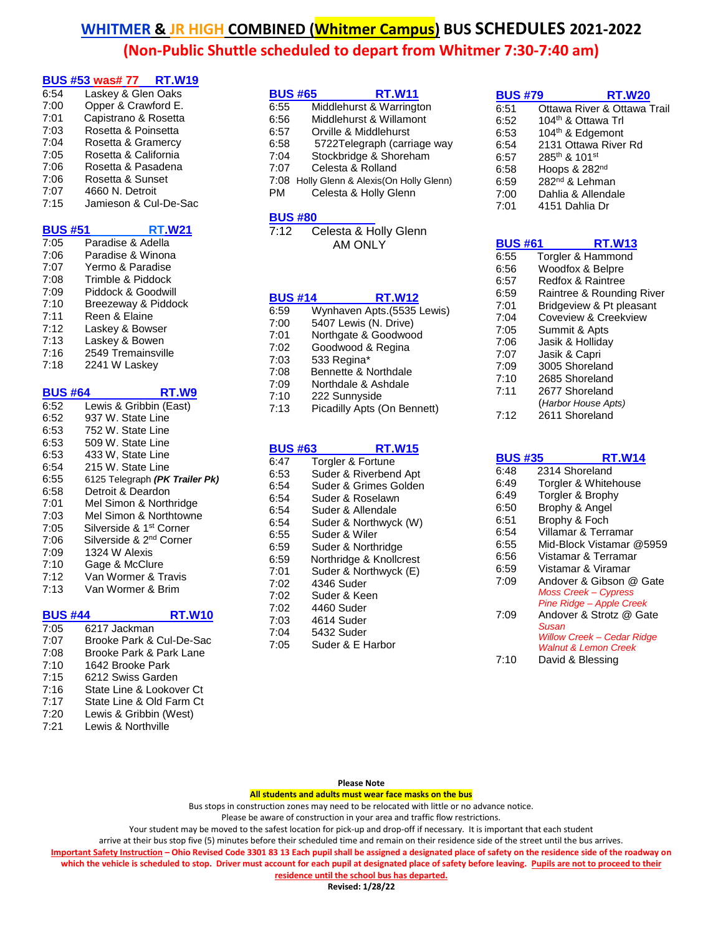## **BUS #53 was# 77 RT.W19**

| 6:54 | Laskey & Glen Oaks    |
|------|-----------------------|
| 7:00 | Opper & Crawford E.   |
| 7:01 | Capistrano & Rosetta  |
| 7:03 | Rosetta & Poinsetta   |
| 7:04 | Rosetta & Gramercy    |
| 7:05 | Rosetta & California  |
| 7:06 | Rosetta & Pasadena    |
| 7:06 | Rosetta & Sunset      |
| 7:07 | 4660 N. Detroit       |
| 7:15 | Jamieson & Cul-De-Sac |

## **BUS #51 RT.W21** 7:05 Paradise & Adella 7:06 Paradise & Winona

| 7:07 | Yermo & Paradise    |
|------|---------------------|
| 7:08 | Trimble & Piddock   |
| 7:09 | Piddock & Goodwill  |
| 7:10 | Breezeway & Piddock |
| 7:11 | Reen & Elaine       |
| 7:12 | Laskey & Bowser     |
| 7:13 | Laskey & Bowen      |
| 7:16 | 2549 Tremainsville  |
| 7:18 | 2241 W Laskey       |

| <b>BUS #64</b> | RT.W9                               |
|----------------|-------------------------------------|
| 6:52           | Lewis & Gribbin (East)              |
| 6:52           | 937 W. State Line                   |
| 6:53           | 752 W. State Line                   |
| 6:53           | 509 W. State Line                   |
| 6:53           | 433 W, State Line                   |
| 6:54           | 215 W. State Line                   |
| 6:55           | 6125 Telegraph (PK Trailer Pk)      |
| 6:58           | Detroit & Deardon                   |
| 7:01           | Mel Simon & Northridge              |
| 7:03           | Mel Simon & Northtowne              |
| 7:05           | Silverside & 1st Corner             |
| 7:06           | Silverside & 2 <sup>nd</sup> Corner |
| 7:09           | 1324 W Alexis                       |
| 7:10           | Gage & McClure                      |
| 7:12           | Van Wormer & Travis                 |
| 7:13           | Van Wormer & Brim                   |
| BUS #44        | RT.W'                               |

#### 7:05 6217 Jackman 7:07 Brooke Park & Cul-De-Sac 7:08 Brooke Park & Park Lane 7:10 1642 Brooke Park 7:15 6212 Swiss Garden 7:16 State Line & Lookover Ct 7:17 State Line & Old Farm Ct 7:20 Lewis & Gribbin (West) 7:21 Lewis & Northville

| <b>BUS #65</b> | <b>RT.W11</b>                         |
|----------------|---------------------------------------|
| 6:55           | Middlehurst & Warrington              |
| 6:56           | Middlehurst & Willamont               |
| 6:57           | Orville & Middlehurst                 |
| 6:58           | 5722Telegraph (carriage way           |
| 7:04           | Stockbridge & Shoreham                |
| 7:07           | Celesta & Rolland                     |
| 7:08           | Holly Glenn & Alexis (On Holly Glenn) |
| PM             | Celesta & Holly Glenn                 |
|                |                                       |

## **BUS #80**

7:12 Celesta & Holly Glenn AM ONLY

## **BUS #14 RT.W12**

| 6:59 | Wynhaven Apts.(5535 Lewis)  |
|------|-----------------------------|
| 7:00 | 5407 Lewis (N. Drive)       |
| 7:01 | Northgate & Goodwood        |
| 7:02 | Goodwood & Regina           |
| 7:03 | 533 Regina*                 |
| 7:08 | Bennette & Northdale        |
| 7:09 | Northdale & Ashdale         |
| 7:10 | 222 Sunnyside               |
| 7:13 | Picadilly Apts (On Bennett) |
|      |                             |

### **BUS #63 RT.W15**

| 6:47 | Torgler & Fortune       |
|------|-------------------------|
|      |                         |
| 6:53 | Suder & Riverbend Apt   |
| 6:54 | Suder & Grimes Golden   |
| 6:54 | Suder & Roselawn        |
| 6:54 | Suder & Allendale       |
| 6:54 | Suder & Northwyck (W)   |
| 6:55 | Suder & Wiler           |
| 6:59 | Suder & Northridge      |
| 6:59 | Northridge & Knollcrest |
| 7:01 | Suder & Northwyck (E)   |
| 7:02 | 4346 Suder              |
| 7:02 | Suder & Keen            |
| 7:02 | 4460 Suder              |
| 7:03 | 4614 Suder              |
| 7:04 | 5432 Suder              |
| 7:05 | Suder & E Harbor        |

### **BUS #79 RT.W20** 6:51 Ottawa River & Ottawa Trail 6:52  $104<sup>th</sup>$  & Ottawa Trl  $6:53$  104<sup>th</sup> & Edgemont 6:54 2131 Ottawa River Rd 6:57 285<sup>th</sup> & 101<sup>st</sup><br>6:58 Hoops & 282 Hoops & 282nd  $6:59$   $282<sup>nd</sup>$  & Lehman<br> $7:00$  Dahlia & Allenda Dahlia & Allendale 7:01 4151 Dahlia Dr

| <b>BUS #61</b> | <b>RT.W13</b>             |
|----------------|---------------------------|
| 6:55           | Torgler & Hammond         |
| 6:56           | Woodfox & Belpre          |
| 6:57           | Redfox & Raintree         |
| 6:59           | Raintree & Rounding River |
| 7:01           | Bridgeview & Pt pleasant  |
| 7:04           | Coveview & Creekview      |
| 7:05           | Summit & Apts             |
| 7:06           | Jasik & Holliday          |
| 7:07           | Jasik & Capri             |
| 7:09           | 3005 Shoreland            |
| 7:10           | 2685 Shoreland            |
| 7:11           | 2677 Shoreland            |
|                | (Harbor House Apts)       |
| 7:12           | 2611 Shoreland            |
|                |                           |

| <b>BUS #35</b><br>RT.W14         |
|----------------------------------|
| 2314 Shoreland                   |
| Torgler & Whitehouse             |
| Torgler & Brophy                 |
| Brophy & Angel                   |
| Brophy & Foch                    |
| Villamar & Terramar              |
| Mid-Block Vistamar @5959         |
| Vistamar & Terramar              |
| Vistamar & Viramar               |
| Andover & Gibson @ Gate          |
| <b>Moss Creek - Cypress</b>      |
| Pine Ridge - Apple Creek         |
| Andover & Strotz @ Gate<br>Susan |
| Willow Creek – Cedar Ridge       |
| <b>Walnut &amp; Lemon Creek</b>  |
| David & Blessing                 |
|                                  |

#### **Please Note**

**All students and adults must wear face masks on the bus**

Bus stops in construction zones may need to be relocated with little or no advance notice.

Please be aware of construction in your area and traffic flow restrictions.

Your student may be moved to the safest location for pick-up and drop-off if necessary. It is important that each student

arrive at their bus stop five (5) minutes before their scheduled time and remain on their residence side of the street until the bus arrives.

**Important Safety Instruction – Ohio Revised Code 3301 83 13 Each pupil shall be assigned a designated place of safety on the residence side of the roadway on**  which the vehicle is scheduled to stop. Driver must account for each pupil at designated place of safety before leaving. Pupils are not to proceed to their **residence until the school bus has departed.**

**Revised: 1/28/22**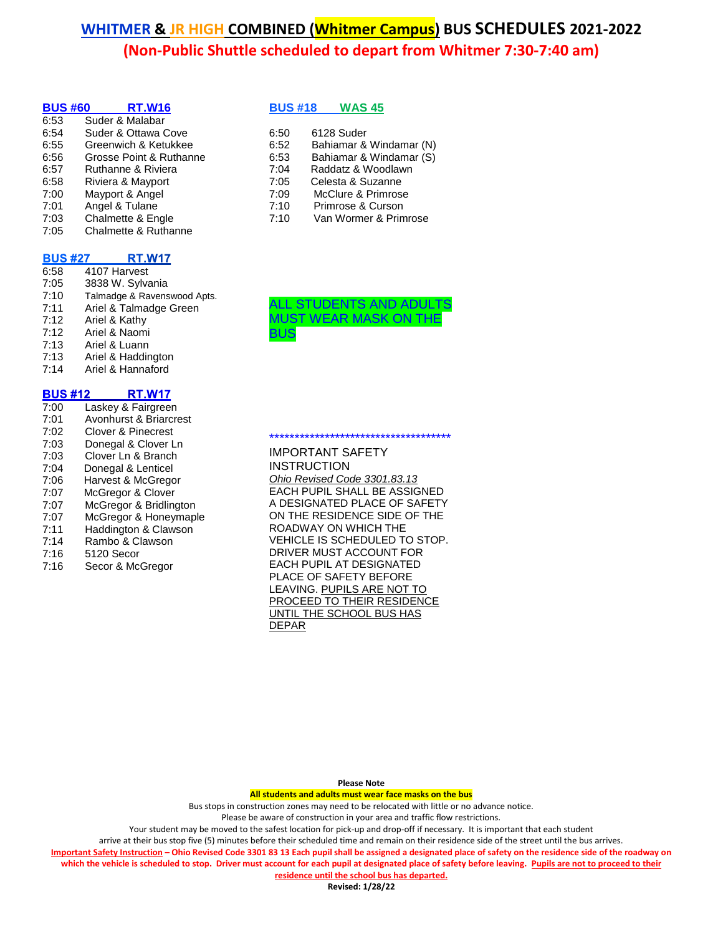| <b>BUS #60</b> | <b>RT.W16</b>           |  |
|----------------|-------------------------|--|
| 6:53           | Suder & Malabar         |  |
| 6:54           | Suder & Ottawa Cove     |  |
| 6:55           | Greenwich & Ketukkee    |  |
| 6:56           | Grosse Point & Ruthanne |  |
| 6:57           | Ruthanne & Riviera      |  |
| 6:58           | Riviera & Mayport       |  |
| 7:00           | Mayport & Angel         |  |
| 7:01           | Angel & Tulane          |  |
| 7:03           | Chalmette & Engle       |  |
| 7:05           | Chalmette & Ruthanne    |  |
|                |                         |  |

#### **BUS #27 RT.W17**

6:58 4107 Harvest 7:05 3838 W. Sylvania 7:10 Talmadge & Ravenswood Apts. 7:11 Ariel & Talmadge Green 7:12 Ariel & Kathy 7:12 Ariel & Naomi 7:13 Ariel & Luann 7:13 Ariel & Haddington<br>7:14 Ariel & Hannaford Ariel & Hannaford

#### **BUS #12 RT.W17**

| 7:00 | Laskey & Fairgreen     |
|------|------------------------|
| 7:01 | Avonhurst & Briarcrest |
| 7:02 | Clover & Pinecrest     |
| 7:03 | Donegal & Clover Ln    |
| 7:03 | Clover Ln & Branch     |
| 7:04 | Donegal & Lenticel     |
| 7:06 | Harvest & McGregor     |
| 7:07 | McGregor & Clover      |
| 7:07 | McGregor & Bridlington |
| 7:07 | McGregor & Honeymaple  |
| 7:11 | Haddington & Clawson   |
| 7:14 | Rambo & Clawson        |
| 7:16 | 5120 Secor             |
| 7:16 | Secor & McGregor       |
|      |                        |

**BUS #18 WAS 45**

| 6:50 | 6128 Suder              |
|------|-------------------------|
| 6:52 | Bahiamar & Windamar (N) |
| 6:53 | Bahiamar & Windamar (S) |
| 7:04 | Raddatz & Woodlawn      |
| 7:05 | Celesta & Suzanne       |
| 7:09 | McClure & Primrose      |
| 7:10 | Primrose & Curson       |
| 7:10 | Van Wormer & Primrose   |



IMPORTANT SAFETY **INSTRUCTION** *Ohio Revised Code 3301.83.13* EACH PUPIL SHALL BE ASSIGNED A DESIGNATED PLACE OF SAFETY ON THE RESIDENCE SIDE OF THE ROADWAY ON WHICH THE VEHICLE IS SCHEDULED TO STOP. DRIVER MUST ACCOUNT FOR EACH PUPIL AT DESIGNATED PLACE OF SAFETY BEFORE LEAVING. PUPILS ARE NOT TO PROCEED TO THEIR RESIDENCE UNTIL THE SCHOOL BUS HAS DEPAR

\*\*\*\*\*\*\*\*\*\*\*\*\*\*\*\*\*\*\*\*\*\*\*\*\*\*\*\*\*\*\*\*\*\*\*\*

**Please Note**

**All students and adults must wear face masks on the bus**

Bus stops in construction zones may need to be relocated with little or no advance notice.

Please be aware of construction in your area and traffic flow restrictions.

Your student may be moved to the safest location for pick-up and drop-off if necessary. It is important that each student

arrive at their bus stop five (5) minutes before their scheduled time and remain on their residence side of the street until the bus arrives.

**Important Safety Instruction – Ohio Revised Code 3301 83 13 Each pupil shall be assigned a designated place of safety on the residence side of the roadway on which the vehicle is scheduled to stop. Driver must account for each pupil at designated place of safety before leaving. Pupils are not to proceed to their residence until the school bus has departed.**

**Revised: 1/28/22**